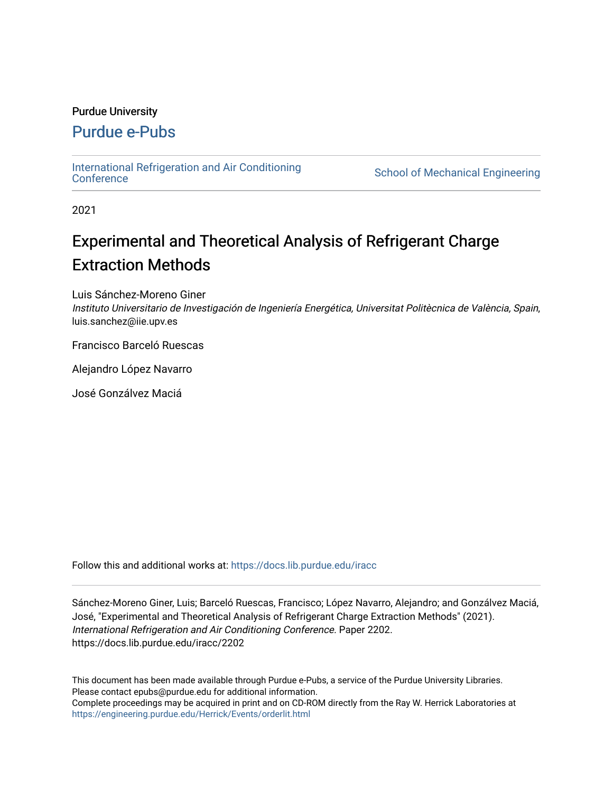## Purdue University

# [Purdue e-Pubs](https://docs.lib.purdue.edu/)

[International Refrigeration and Air Conditioning](https://docs.lib.purdue.edu/iracc) 

School of Mechanical Engineering

2021

# Experimental and Theoretical Analysis of Refrigerant Charge Extraction Methods

Luis Sánchez-Moreno Giner

Instituto Universitario de Investigación de Ingeniería Energética, Universitat Politècnica de València, Spain, luis.sanchez@iie.upv.es

Francisco Barceló Ruescas

Alejandro López Navarro

José Gonzálvez Maciá

Follow this and additional works at: [https://docs.lib.purdue.edu/iracc](https://docs.lib.purdue.edu/iracc?utm_source=docs.lib.purdue.edu%2Firacc%2F2202&utm_medium=PDF&utm_campaign=PDFCoverPages)

Sánchez-Moreno Giner, Luis; Barceló Ruescas, Francisco; López Navarro, Alejandro; and Gonzálvez Maciá, José, "Experimental and Theoretical Analysis of Refrigerant Charge Extraction Methods" (2021). International Refrigeration and Air Conditioning Conference. Paper 2202. https://docs.lib.purdue.edu/iracc/2202

This document has been made available through Purdue e-Pubs, a service of the Purdue University Libraries. Please contact epubs@purdue.edu for additional information. Complete proceedings may be acquired in print and on CD-ROM directly from the Ray W. Herrick Laboratories at <https://engineering.purdue.edu/Herrick/Events/orderlit.html>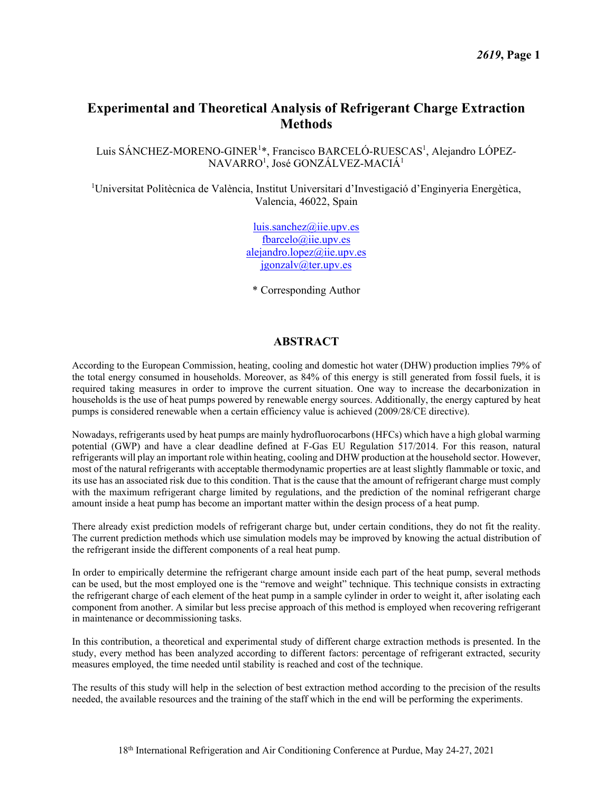# **Experimental and Theoretical Analysis of Refrigerant Charge Extraction Methods**

Luis SÁNCHEZ-MORENO-GINER<sup>1</sup>\*, Francisco BARCELÓ-RUESCAS<sup>1</sup>, Alejandro LÓPEZ-NAVARRO<sup>1</sup>, José GONZÁLVEZ-MACIÁ<sup>1</sup>

<sup>1</sup>Universitat Politècnica de València, Institut Universitari d'Investigació d'Enginyeria Energètica, Valencia, 46022, Spain

> [luis.sanchez@iie.upv.es](mailto:luis.sanchez@iie.upv.es) [fbarcelo@iie.upv.es](mailto:fbarcelo@iie.upv.es) [alejandro.lopez@iie.upv.es](mailto:alejandro.lopez@iie.upv.es) [jgonzalv@ter.upv.es](mailto:jgonzalv@ter.upv.es)

\* Corresponding Author

## **ABSTRACT**

According to the European Commission, heating, cooling and domestic hot water (DHW) production implies 79% of the total energy consumed in households. Moreover, as 84% of this energy is still generated from fossil fuels, it is required taking measures in order to improve the current situation. One way to increase the decarbonization in households is the use of heat pumps powered by renewable energy sources. Additionally, the energy captured by heat pumps is considered renewable when a certain efficiency value is achieved (2009/28/CE directive).

Nowadays, refrigerants used by heat pumps are mainly hydrofluorocarbons (HFCs) which have a high global warming potential (GWP) and have a clear deadline defined at F-Gas EU Regulation 517/2014. For this reason, natural refrigerants will play an important role within heating, cooling and DHW production at the household sector. However, most of the natural refrigerants with acceptable thermodynamic properties are at least slightly flammable or toxic, and its use has an associated risk due to this condition. That is the cause that the amount of refrigerant charge must comply with the maximum refrigerant charge limited by regulations, and the prediction of the nominal refrigerant charge amount inside a heat pump has become an important matter within the design process of a heat pump.

There already exist prediction models of refrigerant charge but, under certain conditions, they do not fit the reality. The current prediction methods which use simulation models may be improved by knowing the actual distribution of the refrigerant inside the different components of a real heat pump.

In order to empirically determine the refrigerant charge amount inside each part of the heat pump, several methods can be used, but the most employed one is the "remove and weight" technique. This technique consists in extracting the refrigerant charge of each element of the heat pump in a sample cylinder in order to weight it, after isolating each component from another. A similar but less precise approach of this method is employed when recovering refrigerant in maintenance or decommissioning tasks.

In this contribution, a theoretical and experimental study of different charge extraction methods is presented. In the study, every method has been analyzed according to different factors: percentage of refrigerant extracted, security measures employed, the time needed until stability is reached and cost of the technique.

The results of this study will help in the selection of best extraction method according to the precision of the results needed, the available resources and the training of the staff which in the end will be performing the experiments.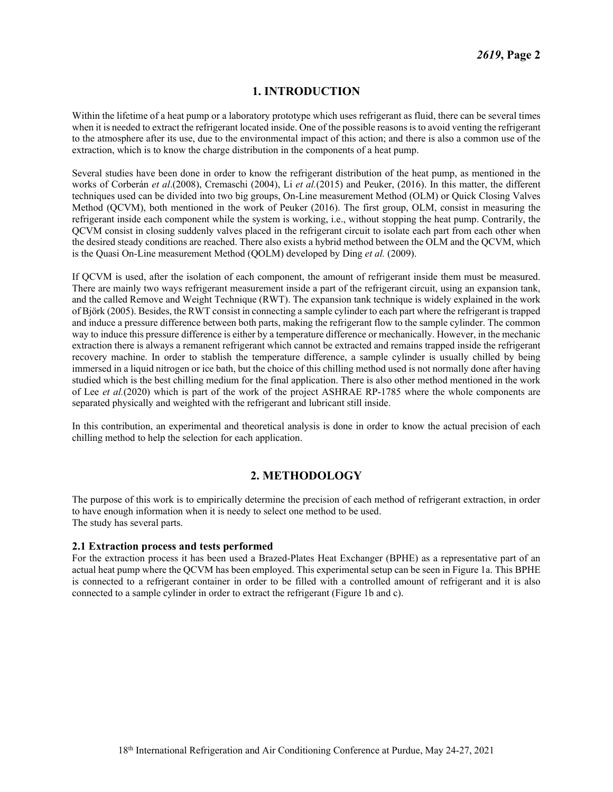# **1. INTRODUCTION**

Within the lifetime of a heat pump or a laboratory prototype which uses refrigerant as fluid, there can be several times when it is needed to extract the refrigerant located inside. One of the possible reasons is to avoid venting the refrigerant to the atmosphere after its use, due to the environmental impact of this action; and there is also a common use of the extraction, which is to know the charge distribution in the components of a heat pump.

Several studies have been done in order to know the refrigerant distribution of the heat pump, as mentioned in the works of Corberán *et al*.(2008), Cremaschi (2004), Li *et al.*(2015) and Peuker, (2016). In this matter, the different techniques used can be divided into two big groups, On-Line measurement Method (OLM) or Quick Closing Valves Method (QCVM), both mentioned in the work of Peuker (2016). The first group, OLM, consist in measuring the refrigerant inside each component while the system is working, i.e., without stopping the heat pump. Contrarily, the QCVM consist in closing suddenly valves placed in the refrigerant circuit to isolate each part from each other when the desired steady conditions are reached. There also exists a hybrid method between the OLM and the QCVM, which is the Quasi On-Line measurement Method (QOLM) developed by Ding *et al.* (2009).

If QCVM is used, after the isolation of each component, the amount of refrigerant inside them must be measured. There are mainly two ways refrigerant measurement inside a part of the refrigerant circuit, using an expansion tank, and the called Remove and Weight Technique (RWT). The expansion tank technique is widely explained in the work of Björk (2005). Besides, the RWT consist in connecting a sample cylinder to each part where the refrigerant is trapped and induce a pressure difference between both parts, making the refrigerant flow to the sample cylinder. The common way to induce this pressure difference is either by a temperature difference or mechanically. However, in the mechanic extraction there is always a remanent refrigerant which cannot be extracted and remains trapped inside the refrigerant recovery machine. In order to stablish the temperature difference, a sample cylinder is usually chilled by being immersed in a liquid nitrogen or ice bath, but the choice of this chilling method used is not normally done after having studied which is the best chilling medium for the final application. There is also other method mentioned in the work of Lee *et al.*(2020) which is part of the work of the project ASHRAE RP-1785 where the whole components are separated physically and weighted with the refrigerant and lubricant still inside.

In this contribution, an experimental and theoretical analysis is done in order to know the actual precision of each chilling method to help the selection for each application.

# **2. METHODOLOGY**

The purpose of this work is to empirically determine the precision of each method of refrigerant extraction, in order to have enough information when it is needy to select one method to be used. The study has several parts.

#### **2.1 Extraction process and tests performed**

For the extraction process it has been used a Brazed-Plates Heat Exchanger (BPHE) as a representative part of an actual heat pump where the QCVM has been employed. This experimental setup can be seen in [Figure 1a](#page-3-0). This BPHE is connected to a refrigerant container in order to be filled with a controlled amount of refrigerant and it is also connected to a sample cylinder in order to extract the refrigerant [\(Figure 1b](#page-3-0) and c).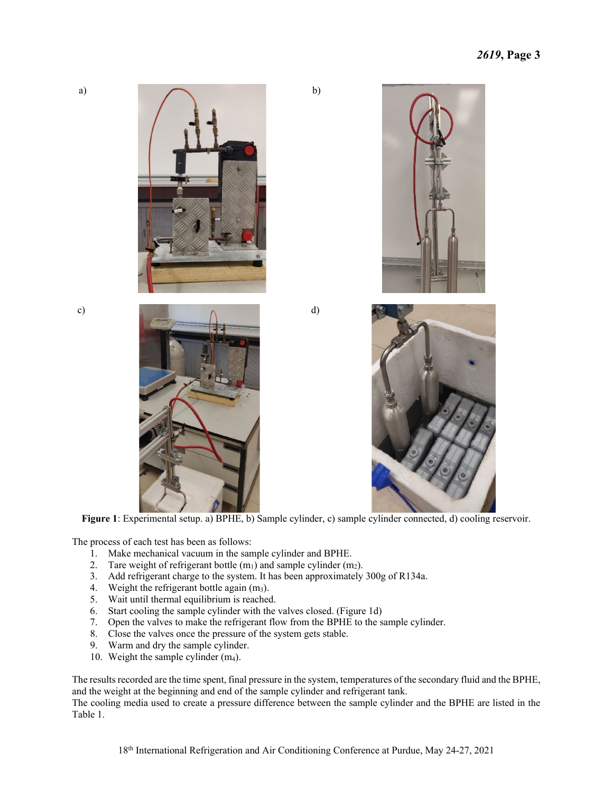a)









<span id="page-3-0"></span>**Figure 1**: Experimental setup. a) BPHE, b) Sample cylinder, c) sample cylinder connected, d) cooling reservoir.

b)

The process of each test has been as follows:

- 1. Make mechanical vacuum in the sample cylinder and BPHE.
- 2. Tare weight of refrigerant bottle  $(m_1)$  and sample cylinder  $(m_2)$ .
- 3. Add refrigerant charge to the system. It has been approximately 300g of R134a.
- 4. Weight the refrigerant bottle again  $(m_3)$ .
- 5. Wait until thermal equilibrium is reached.
- 6. Start cooling the sample cylinder with the valves closed. [\(Figure 1d](#page-3-0))
- 7. Open the valves to make the refrigerant flow from the BPHE to the sample cylinder.
- 8. Close the valves once the pressure of the system gets stable.
- 9. Warm and dry the sample cylinder.
- 10. Weight the sample cylinder (m4).

The results recorded are the time spent, final pressure in the system, temperatures of the secondary fluid and the BPHE, and the weight at the beginning and end of the sample cylinder and refrigerant tank.

The cooling media used to create a pressure difference between the sample cylinder and the BPHE are listed in the [Table 1.](#page-4-0)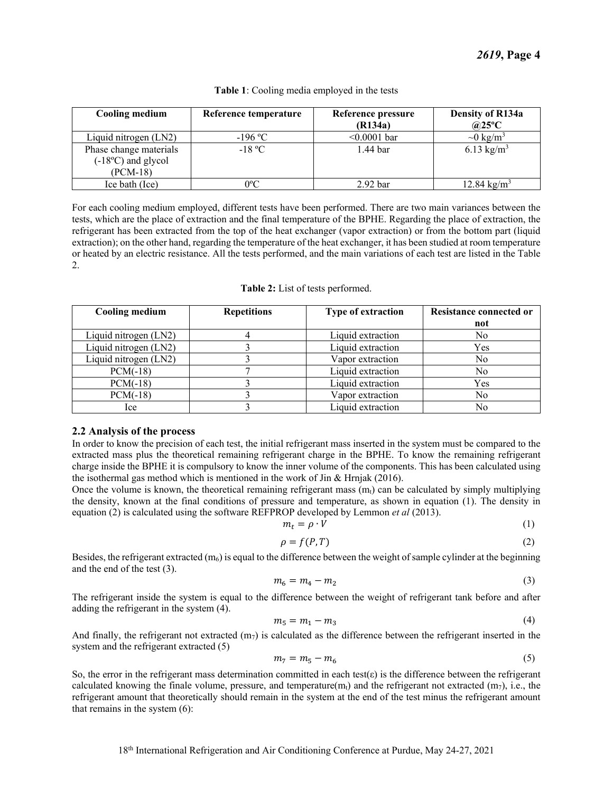<span id="page-4-0"></span>

| <b>Cooling medium</b>                                             | Reference temperature | Reference pressure<br>(R134a) | Density of R134a<br>$@25^{\circ}C$ |
|-------------------------------------------------------------------|-----------------------|-------------------------------|------------------------------------|
| Liquid nitrogen (LN2)                                             | $-196$ °C             | $< 0.0001$ bar                | $\sim 0 \text{ kg/m}^3$            |
| Phase change materials<br>$(-18^{\circ}C)$ and glycol<br>(PCM-18) | $-18 °C$              | 1.44 bar                      | 6.13 kg/m <sup>3</sup>             |
| Ice bath (Ice)                                                    | 0°C                   | 2.92 <sub>bar</sub>           | 12.84 kg/m <sup>3</sup>            |

#### **Table 1**: Cooling media employed in the tests

For each cooling medium employed, different tests have been performed. There are two main variances between the tests, which are the place of extraction and the final temperature of the BPHE. Regarding the place of extraction, the refrigerant has been extracted from the top of the heat exchanger (vapor extraction) or from the bottom part (liquid extraction); on the other hand, regarding the temperature of the heat exchanger, it has been studied at room temperature or heated by an electric resistance. All the tests performed, and the main variations of each test are listed in the [Table](#page-4-1)  [2.](#page-4-1)

|  |  | Table 2: List of tests performed. |
|--|--|-----------------------------------|
|--|--|-----------------------------------|

<span id="page-4-1"></span>

| <b>Cooling medium</b> | <b>Repetitions</b> | <b>Type of extraction</b> | <b>Resistance connected or</b> |
|-----------------------|--------------------|---------------------------|--------------------------------|
|                       |                    |                           | not                            |
| Liquid nitrogen (LN2) |                    | Liquid extraction         | No                             |
| Liquid nitrogen (LN2) |                    | Liquid extraction         | Yes                            |
| Liquid nitrogen (LN2) |                    | Vapor extraction          | No                             |
| $PCM(-18)$            |                    | Liquid extraction         | No                             |
| $PCM(-18)$            |                    | Liquid extraction         | Yes                            |
| $PCM(-18)$            |                    | Vapor extraction          | No                             |
| lce.                  |                    | Liquid extraction         | No                             |

#### **2.2 Analysis of the process**

In order to know the precision of each test, the initial refrigerant mass inserted in the system must be compared to the extracted mass plus the theoretical remaining refrigerant charge in the BPHE. To know the remaining refrigerant charge inside the BPHE it is compulsory to know the inner volume of the components. This has been calculated using the isothermal gas method which is mentioned in the work of Jin & Hrnjak (2016).

Once the volume is known, the theoretical remaining refrigerant mass  $(m_t)$  can be calculated by simply multiplying the density, known at the final conditions of pressure and temperature, as shown in equation (1). The density in equation (2) is calculated using the software REFPROP developed by Lemmon *et al* (2013).

$$
m_t = \rho \cdot \dot{V} \tag{1}
$$

$$
\rho = f(P, T) \tag{2}
$$

Besides, the refrigerant extracted  $(m_6)$  is equal to the difference between the weight of sample cylinder at the beginning and the end of the test (3).

$$
m_6 = m_4 - m_2 \tag{3}
$$

The refrigerant inside the system is equal to the difference between the weight of refrigerant tank before and after adding the refrigerant in the system (4).

$$
m_5 = m_1 - m_3 \tag{4}
$$

And finally, the refrigerant not extracted  $(m<sub>7</sub>)$  is calculated as the difference between the refrigerant inserted in the system and the refrigerant extracted (5)

$$
m_7 = m_5 - m_6 \tag{5}
$$

So, the error in the refrigerant mass determination committed in each test( $\varepsilon$ ) is the difference between the refrigerant calculated knowing the finale volume, pressure, and temperature( $m_t$ ) and the refrigerant not extracted ( $m_7$ ), i.e., the refrigerant amount that theoretically should remain in the system at the end of the test minus the refrigerant amount that remains in the system (6):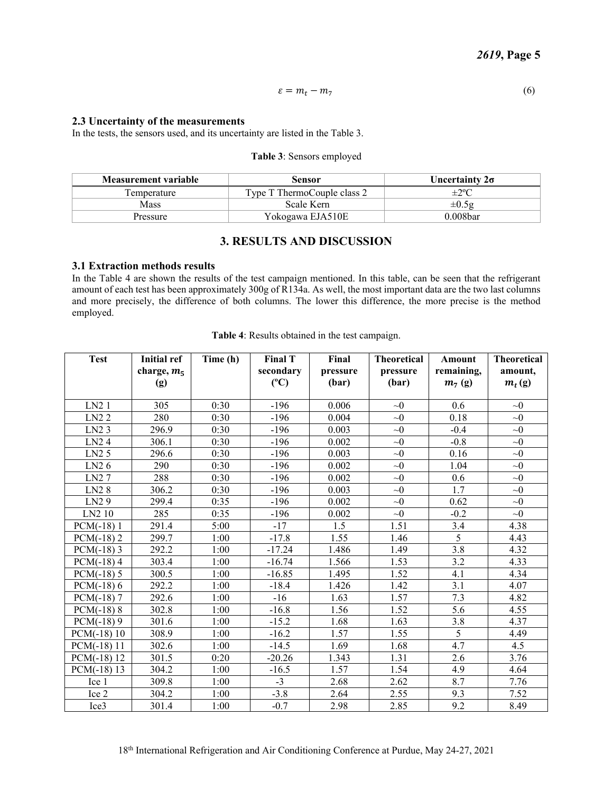$$
\varepsilon = m_t - m_7 \tag{6}
$$

#### **2.3 Uncertainty of the measurements**

<span id="page-5-0"></span>In the tests, the sensors used, and its uncertainty are listed in th[e Table 3.](#page-5-0)

#### **Table 3**: Sensors employed

| Measurement variable | Sensor                      | Uncertainty $2\sigma$ |
|----------------------|-----------------------------|-----------------------|
| Temperature          | Type T ThermoCouple class 2 | $\pm 2^{\circ}C$      |
| Mass                 | Scale Kern                  | $\pm 0.5g$            |
| Pressure             | Yokogawa EJA510E            | 0.008bar              |

#### **3. RESULTS AND DISCUSSION**

#### **3.1 Extraction methods results**

In the [Table 4](#page-5-1) are shown the results of the test campaign mentioned. In this table, can be seen that the refrigerant amount of each test has been approximately 300g of R134a. As well, the most important data are the two last columns and more precisely, the difference of both columns. The lower this difference, the more precise is the method employed.

<span id="page-5-1"></span>

| <b>Test</b>       | <b>Initial ref</b><br>charge, $m_5$<br>(g) | Time (h) | <b>Final T</b><br>secondary<br>(C) | Final<br>pressure<br>(bar) | <b>Theoretical</b><br>pressure<br>(bar) | Amount<br>remaining,<br>$m_7$ (g) | <b>Theoretical</b><br>amount,<br>$m_t(g)$ |
|-------------------|--------------------------------------------|----------|------------------------------------|----------------------------|-----------------------------------------|-----------------------------------|-------------------------------------------|
| LN21              | 305                                        | 0:30     | $-196$                             | 0.006                      | $\sim 0$                                | 0.6                               | $\sim 0$                                  |
| LN22              | 280                                        | 0:30     | $-196$                             | 0.004                      | $\sim 0$                                | 0.18                              | $\sim 0$                                  |
| LN <sub>2</sub> 3 | 296.9                                      | 0:30     | $-196$                             | 0.003                      | $\sim 0$                                | $-0.4$                            | $\sim 0$                                  |
| LN <sub>2</sub> 4 | 306.1                                      | 0:30     | $-196$                             | 0.002                      | $\sim 0$                                | $-0.8$                            | $\sim 0$                                  |
| LN2 <sub>5</sub>  | 296.6                                      | 0:30     | $-196$                             | 0.003                      | $\sim 0$                                | 0.16                              | $\sim 0$                                  |
| LN <sub>2</sub> 6 | 290                                        | 0:30     | $-196$                             | 0.002                      | $\sim 0$                                | 1.04                              | $\sim 0$                                  |
| LN27              | 288                                        | 0:30     | $-196$                             | 0.002                      | $\sim 0$                                | 0.6                               | $\sim 0$                                  |
| LN <sub>2</sub> 8 | 306.2                                      | 0:30     | $-196$                             | 0.003                      | $\sim 0$                                | 1.7                               | $\sim 0$                                  |
| LN <sub>2</sub> 9 | 299.4                                      | 0:35     | $-196$                             | 0.002                      | $\sim 0$                                | 0.62                              | $\sim 0$                                  |
| LN2 10            | 285                                        | 0:35     | $-196$                             | 0.002                      | $\sim 0$                                | $-0.2$                            | $\sim 0$                                  |
| $PCM(-18)1$       | 291.4                                      | 5:00     | $-17$                              | 1.5                        | 1.51                                    | 3.4                               | 4.38                                      |
| $PCM(-18)$ 2      | 299.7                                      | 1:00     | $-17.8$                            | 1.55                       | 1.46                                    | 5                                 | 4.43                                      |
| $PCM(-18)$ 3      | 292.2                                      | 1:00     | $-17.24$                           | 1.486                      | 1.49                                    | 3.8                               | 4.32                                      |
| $PCM(-18)$ 4      | 303.4                                      | 1:00     | $-16.74$                           | 1.566                      | 1.53                                    | $\overline{3.2}$                  | 4.33                                      |
| $PCM(-18) 5$      | 300.5                                      | 1:00     | $-16.85$                           | 1.495                      | 1.52                                    | 4.1                               | 4.34                                      |
| $PCM(-18)$ 6      | 292.2                                      | 1:00     | $-18.4$                            | 1.426                      | 1.42                                    | 3.1                               | 4.07                                      |
| $PCM(-18)$ 7      | 292.6                                      | 1:00     | $-16$                              | 1.63                       | 1.57                                    | 7.3                               | 4.82                                      |
| $PCM(-18)$ 8      | 302.8                                      | 1:00     | $-16.8$                            | 1.56                       | 1.52                                    | 5.6                               | 4.55                                      |
| $PCM(-18)9$       | 301.6                                      | 1:00     | $-15.2$                            | 1.68                       | 1.63                                    | 3.8                               | 4.37                                      |
| $PCM(-18)10$      | 308.9                                      | 1:00     | $-16.2$                            | 1.57                       | 1.55                                    | 5                                 | 4.49                                      |
| $PCM(-18)11$      | 302.6                                      | 1:00     | $-14.5$                            | 1.69                       | 1.68                                    | 4.7                               | 4.5                                       |
| $PCM(-18)$ 12     | 301.5                                      | 0:20     | $-20.26$                           | 1.343                      | 1.31                                    | 2.6                               | 3.76                                      |
| $PCM(-18)$ 13     | 304.2                                      | 1:00     | $-16.5$                            | 1.57                       | 1.54                                    | 4.9                               | 4.64                                      |
| Ice 1             | 309.8                                      | 1:00     | $-3$                               | 2.68                       | 2.62                                    | 8.7                               | 7.76                                      |
| Ice 2             | 304.2                                      | 1:00     | $-3.8$                             | 2.64                       | 2.55                                    | 9.3                               | 7.52                                      |
| Ice <sub>3</sub>  | 301.4                                      | 1:00     | $-0.7$                             | 2.98                       | 2.85                                    | 9.2                               | 8.49                                      |

**Table 4**: Results obtained in the test campaign.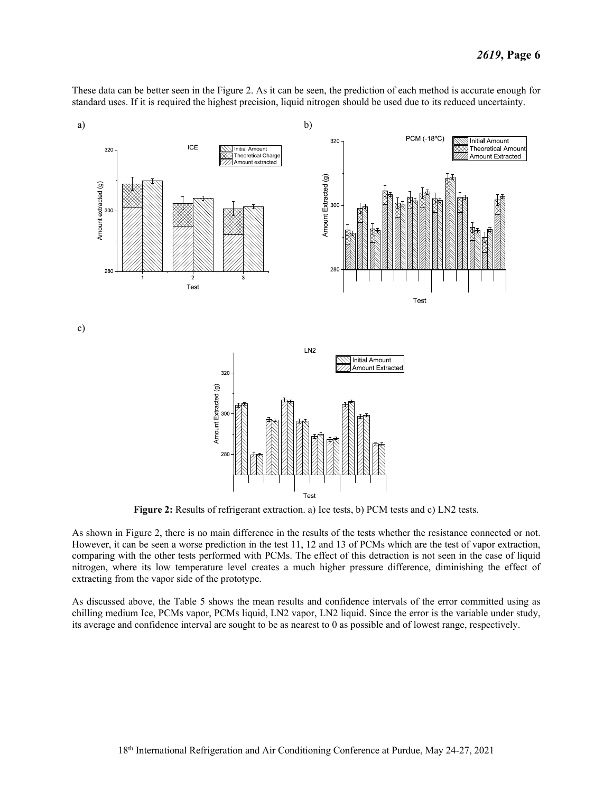These data can be better seen in the [Figure 2.](#page-6-0) As it can be seen, the prediction of each method is accurate enough for standard uses. If it is required the highest precision, liquid nitrogen should be used due to its reduced uncertainty.



**Figure 2:** Results of refrigerant extraction. a) Ice tests, b) PCM tests and c) LN2 tests.

<span id="page-6-0"></span>As shown in [Figure 2,](#page-6-0) there is no main difference in the results of the tests whether the resistance connected or not. However, it can be seen a worse prediction in the test 11, 12 and 13 of PCMs which are the test of vapor extraction, comparing with the other tests performed with PCMs. The effect of this detraction is not seen in the case of liquid nitrogen, where its low temperature level creates a much higher pressure difference, diminishing the effect of extracting from the vapor side of the prototype.

As discussed above, the [Table 5](#page-7-0) shows the mean results and confidence intervals of the error committed using as chilling medium Ice, PCMs vapor, PCMs liquid, LN2 vapor, LN2 liquid. Since the error is the variable under study, its average and confidence interval are sought to be as nearest to 0 as possible and of lowest range, respectively.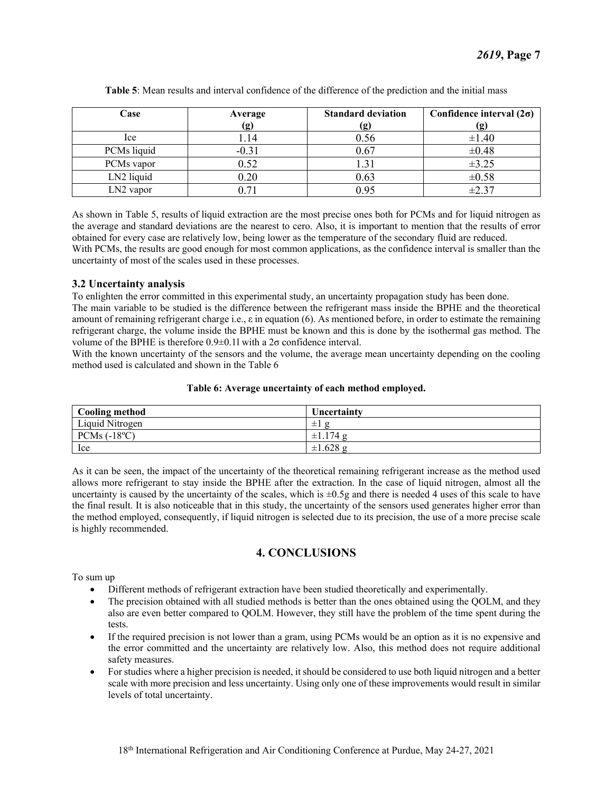<span id="page-7-0"></span>

| Case        | Average | <b>Standard deviation</b> | Confidence interval $(2\sigma)$ |
|-------------|---------|---------------------------|---------------------------------|
|             | (g)     | <u>(g)</u>                | (g)                             |
| lce.        | 1.14    | 0.56                      | $\pm 1.40$                      |
| PCMs liquid | $-0.31$ | 0.67                      | $\pm 0.48$                      |
| PCMs vapor  | 0.52    |                           | $\pm 3.25$                      |
| LN2 liquid  | 0.20    | 0.63                      | $\pm 0.58$                      |
| $LN2$ vapor | 271     | 0.95                      | $\pm 2.37$                      |

**Table 5**: Mean results and interval confidence of the difference of the prediction and the initial mass

As shown in [Table 5,](#page-7-0) results of liquid extraction are the most precise ones both for PCMs and for liquid nitrogen as the average and standard deviations are the nearest to cero. Also, it is important to mention that the results of error obtained for every case are relatively low, being lower as the temperature of the secondary fluid are reduced. With PCMs, the results are good enough for most common applications, as the confidence interval is smaller than the uncertainty of most of the scales used in these processes.

#### **3.2 Uncertainty analysis**

To enlighten the error committed in this experimental study, an uncertainty propagation study has been done.

The main variable to be studied is the difference between the refrigerant mass inside the BPHE and the theoretical amount of remaining refrigerant charge i.e.,  $\varepsilon$  in equation (6). As mentioned before, in order to estimate the remaining refrigerant charge, the volume inside the BPHE must be known and this is done by the isothermal gas method. The volume of the BPHE is therefore 0.9±0.1l with a 2σ confidence interval.

With the known uncertainty of the sensors and the volume, the average mean uncertainty depending on the cooling method used is calculated and shown in the [Table 6](#page-7-1)

#### **Table 6: Average uncertainty of each method employed.**

<span id="page-7-1"></span>

| <b>Cooling method</b> | Uncertainty                   |
|-----------------------|-------------------------------|
| Liquid Nitrogen       | $\alpha$<br>土土                |
| PCMs $(-18^{\circ}C)$ | 174 <sub>2</sub><br>$\pm 1.1$ |
| Ice                   | $\pm 1.628$ g                 |

As it can be seen, the impact of the uncertainty of the theoretical remaining refrigerant increase as the method used allows more refrigerant to stay inside the BPHE after the extraction. In the case of liquid nitrogen, almost all the uncertainty is caused by the uncertainty of the scales, which is  $\pm 0.5g$  and there is needed 4 uses of this scale to have the final result. It is also noticeable that in this study, the uncertainty of the sensors used generates higher error than the method employed, consequently, if liquid nitrogen is selected due to its precision, the use of a more precise scale is highly recommended.

## **4. CONCLUSIONS**

To sum up

- Different methods of refrigerant extraction have been studied theoretically and experimentally.
- The precision obtained with all studied methods is better than the ones obtained using the OOLM, and they also are even better compared to QOLM. However, they still have the problem of the time spent during the tests.
- If the required precision is not lower than a gram, using PCMs would be an option as it is no expensive and the error committed and the uncertainty are relatively low. Also, this method does not require additional safety measures.
- For studies where a higher precision is needed, it should be considered to use both liquid nitrogen and a better scale with more precision and less uncertainty. Using only one of these improvements would result in similar levels of total uncertainty.